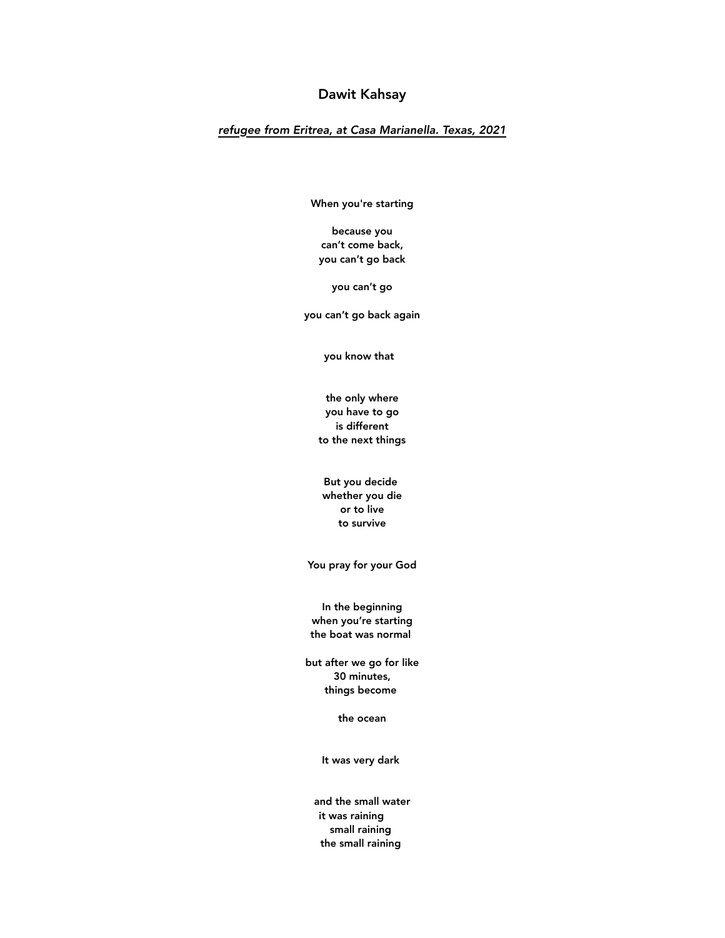# Dawit Kahsay

# *refugee from Eritrea, at Casa Marianella. Texas, 2021*

When you're starting

because you can't come back, you can't go back

you can't go

you can't go back again

you know that

the only where you have to go is different to the next things

But you decide whether you die or to live to survive

You pray for your God

In the beginning when you're starting the boat was normal

but after we go for like 30 minutes, things become

the ocean

It was very dark

and the small water it was raining small raining the small raining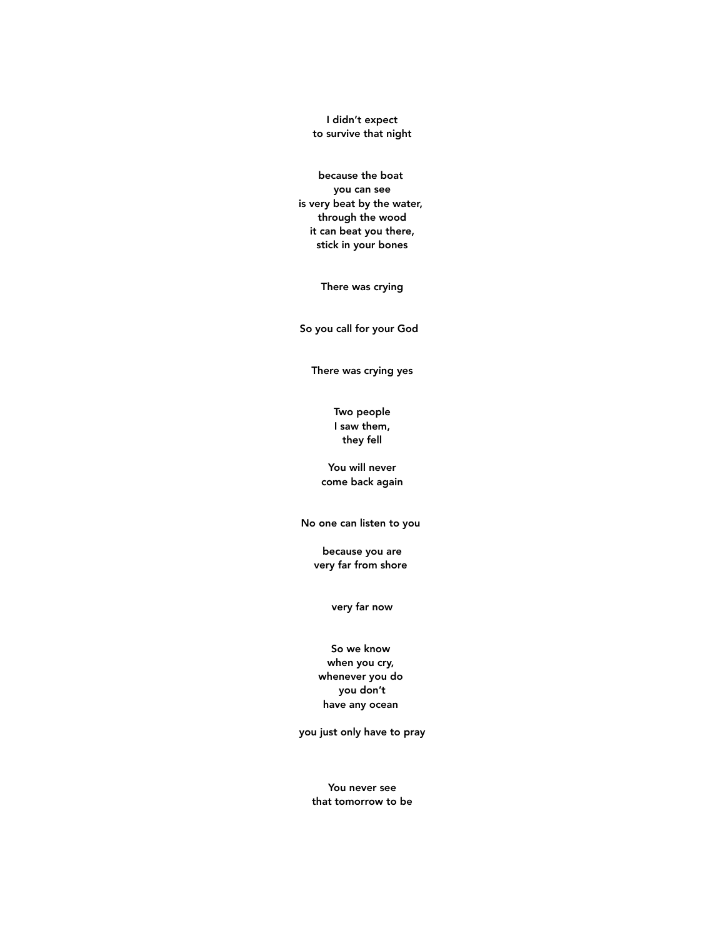I didn't expect to survive that night

because the boat you can see is very beat by the water, through the wood it can beat you there, stick in your bones

There was crying

So you call for your God

There was crying yes

Two people I saw them, they fell

You will never come back again

No one can listen to you

because you are very far from shore

very far now

# So we know when you cry, whenever you do you don't have any ocean

you just only have to pray

You never see that tomorrow to be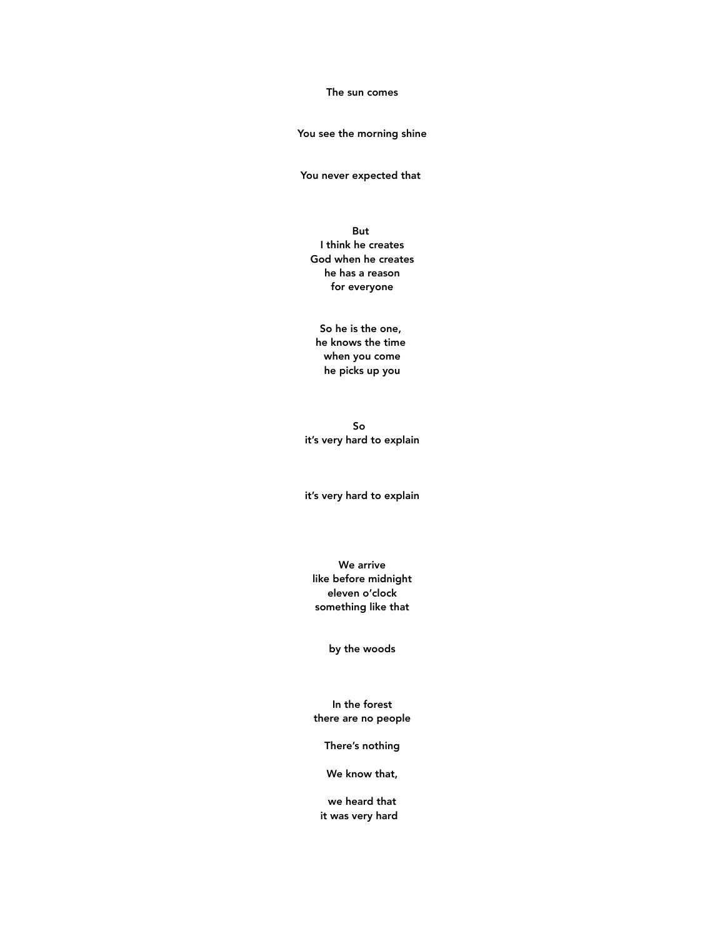#### The sun comes

#### You see the morning shine

You never expected that

#### But

I think he creates God when he creates he has a reason for everyone

So he is the one, he knows the time when you come he picks up you

So it's very hard to explain

it's very hard to explain

We arrive like before midnight eleven o'clock something like that

by the woods

In the forest there are no people

There's nothing

We know that,

we heard that it was very hard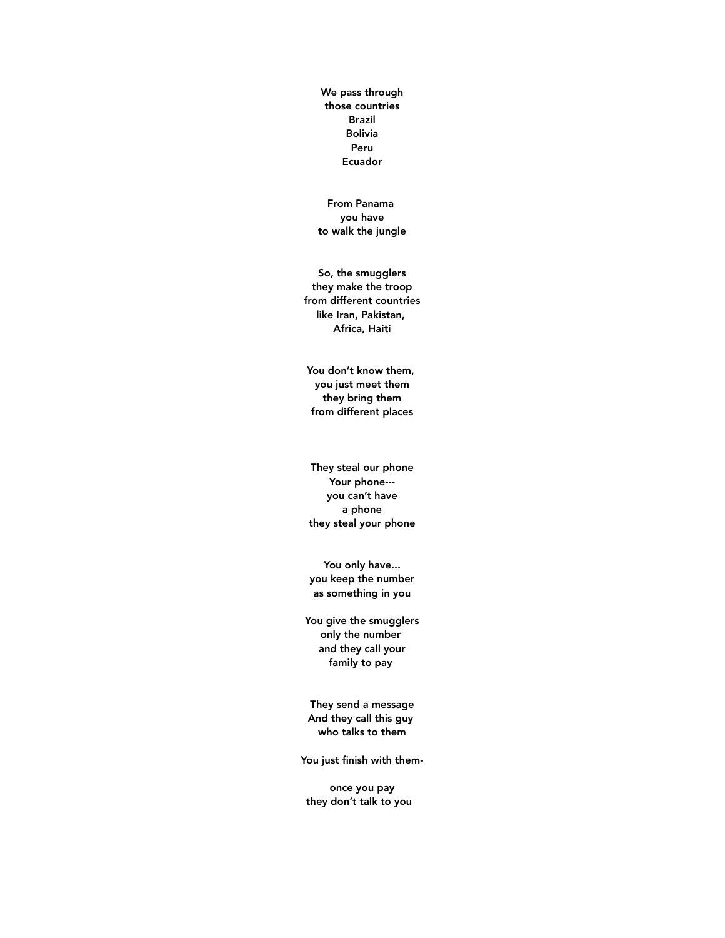We pass through those countries Brazil Bolivia Peru Ecuador

From Panama you have to walk the jungle

So, the smugglers they make the troop from different countries like Iran, Pakistan, Africa, Haiti

You don't know them, you just meet them they bring them from different places

They steal our phone Your phone-- you can't have a phone they steal your phone

You only have... you keep the number as something in you

You give the smugglers only the number and they call your family to pay

They send a message And they call this guy who talks to them

You just finish with them-

once you pay they don't talk to you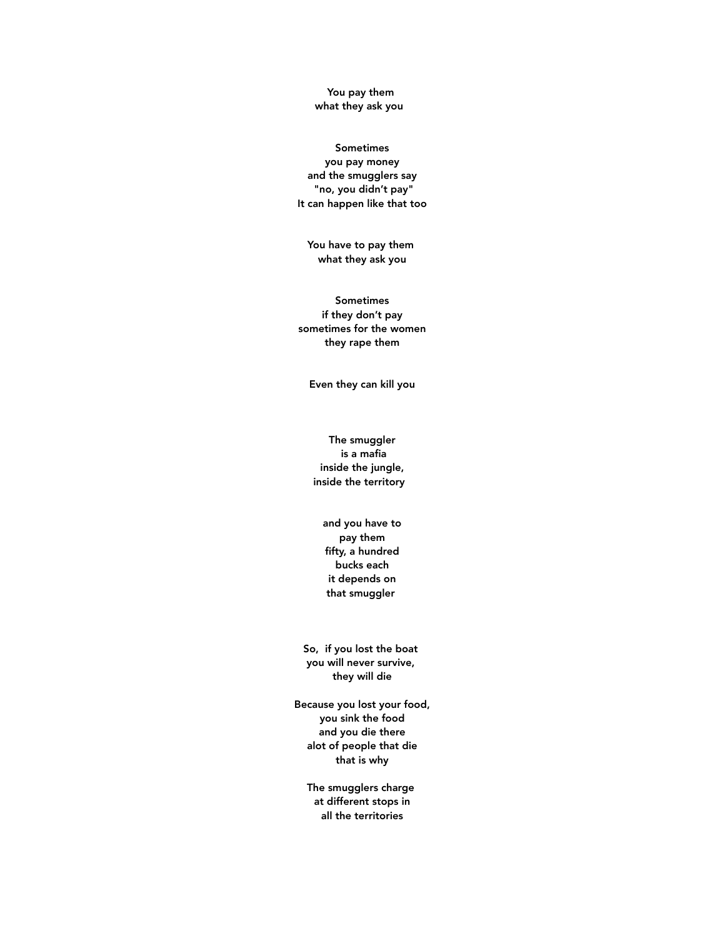#### You pay them what they ask you

### Sometimes you pay money and the smugglers say "no, you didn't pay" It can happen like that too

You have to pay them what they ask you

Sometimes if they don't pay sometimes for the women they rape them

Even they can kill you

The smuggler is a mafia inside the jungle, inside the territory

> and you have to pay them fifty, a hundred bucks each it depends on that smuggler

So, if you lost the boat you will never survive, they will die

Because you lost your food, you sink the food and you die there alot of people that die that is why

The smugglers charge at different stops in all the territories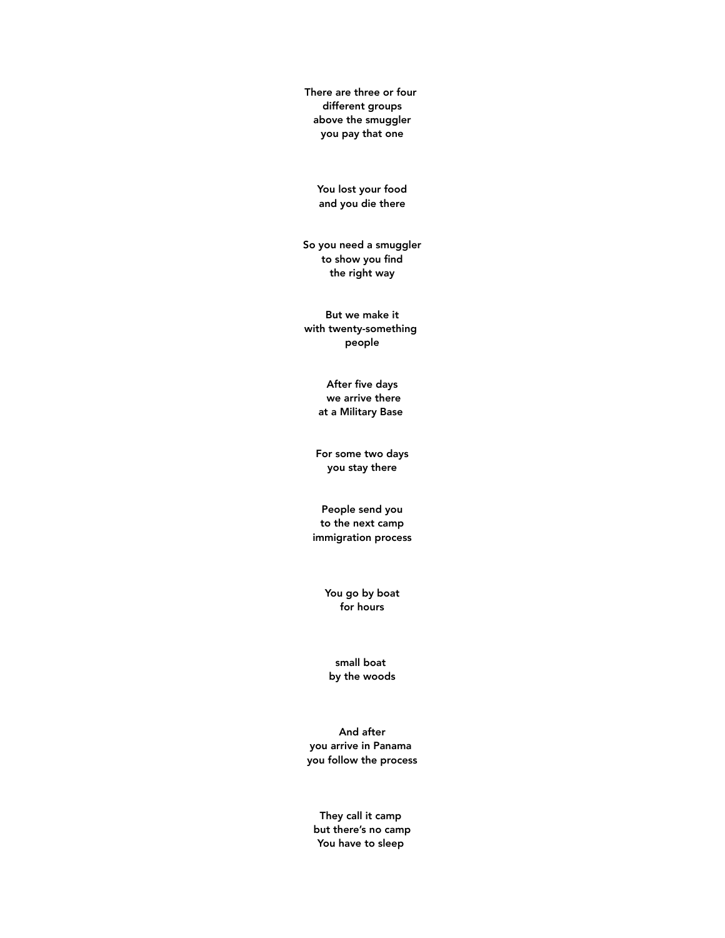There are three or four different groups above the smuggler you pay that one

You lost your food and you die there

So you need a smuggler to show you find the right way

But we make it with twenty-something people

> After five days we arrive there at a Military Base

For some two days you stay there

People send you to the next camp immigration process

> You go by boat for hours

small boat by the woods

And after you arrive in Panama you follow the process

They call it camp but there's no camp You have to sleep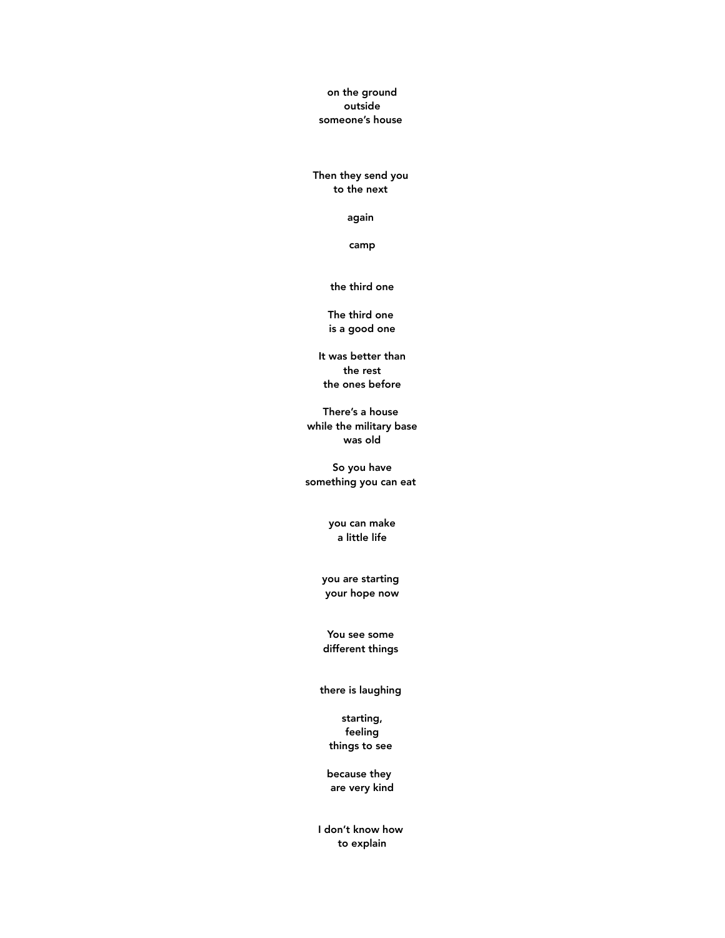on the ground outside someone's house

Then they send you to the next

again

camp

the third one

The third one is a good one

It was better than the rest the ones before

There's a house while the military base was old

So you have something you can eat

> you can make a little life

you are starting your hope now

You see some different things

there is laughing

starting, feeling things to see

because they are very kind

I don't know how to explain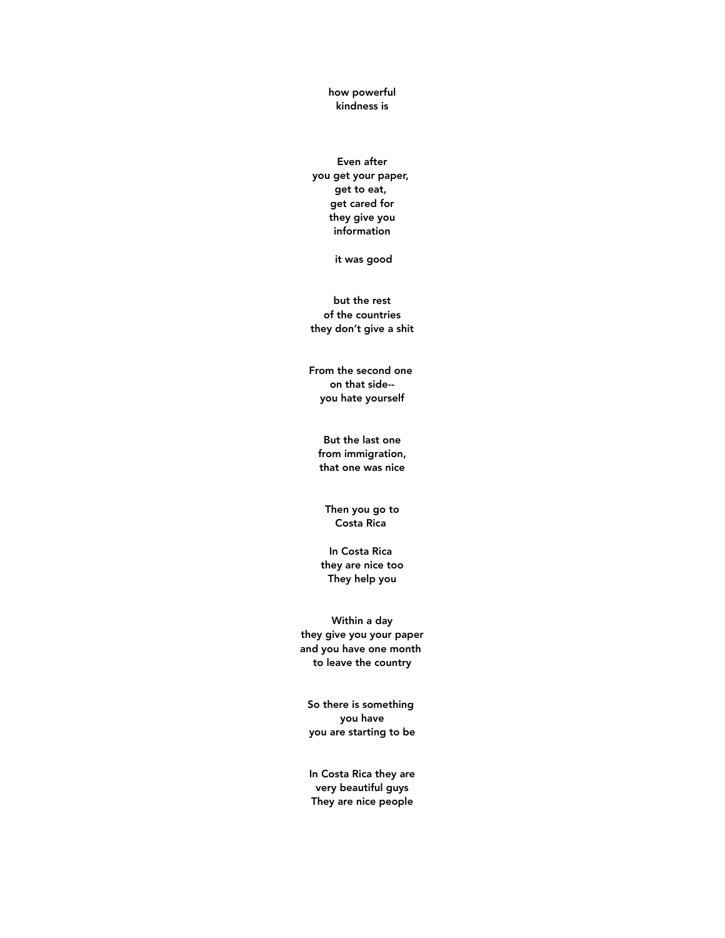how powerful kindness is

Even after you get your paper, get to eat, get cared for they give you information

it was good

but the rest of the countries they don't give a shit

From the second one on that side- you hate yourself

But the last one from immigration, that one was nice

Then you go to Costa Rica

In Costa Rica they are nice too They help you

Within a day they give you your paper and you have one month to leave the country

So there is something you have you are starting to be

In Costa Rica they are very beautiful guys They are nice people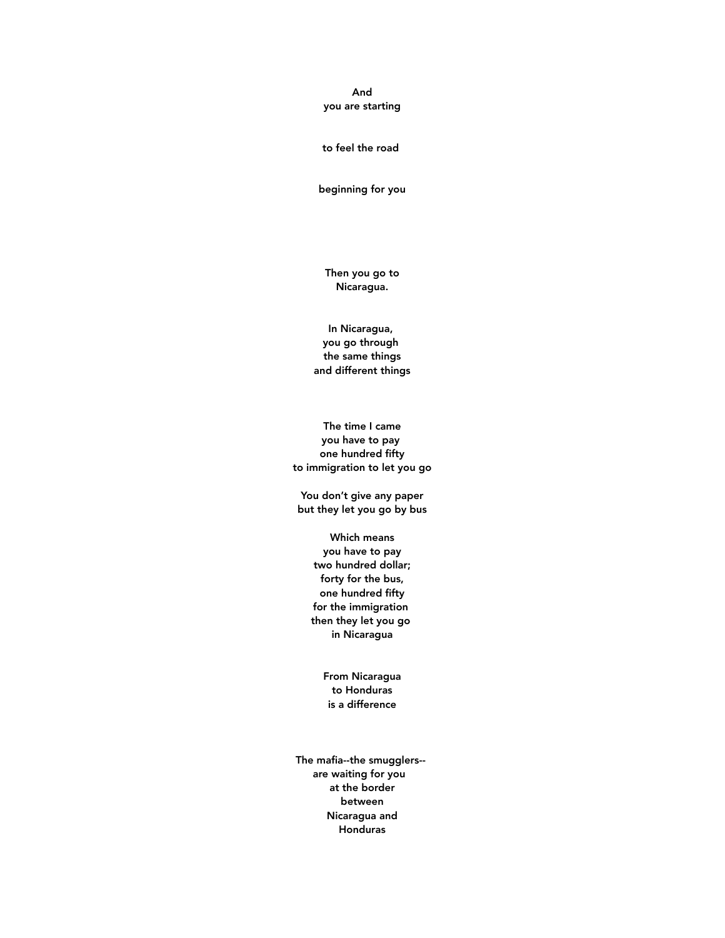#### And you are starting

#### to feel the road

beginning for you

Then you go to Nicaragua.

In Nicaragua, you go through the same things and different things

The time I came you have to pay one hundred fifty to immigration to let you go

You don't give any paper but they let you go by bus

> Which means you have to pay two hundred dollar; forty for the bus, one hundred fifty for the immigration then they let you go in Nicaragua

> > From Nicaragua to Honduras is a difference

The mafia--the smugglers- are waiting for you at the border between Nicaragua and Honduras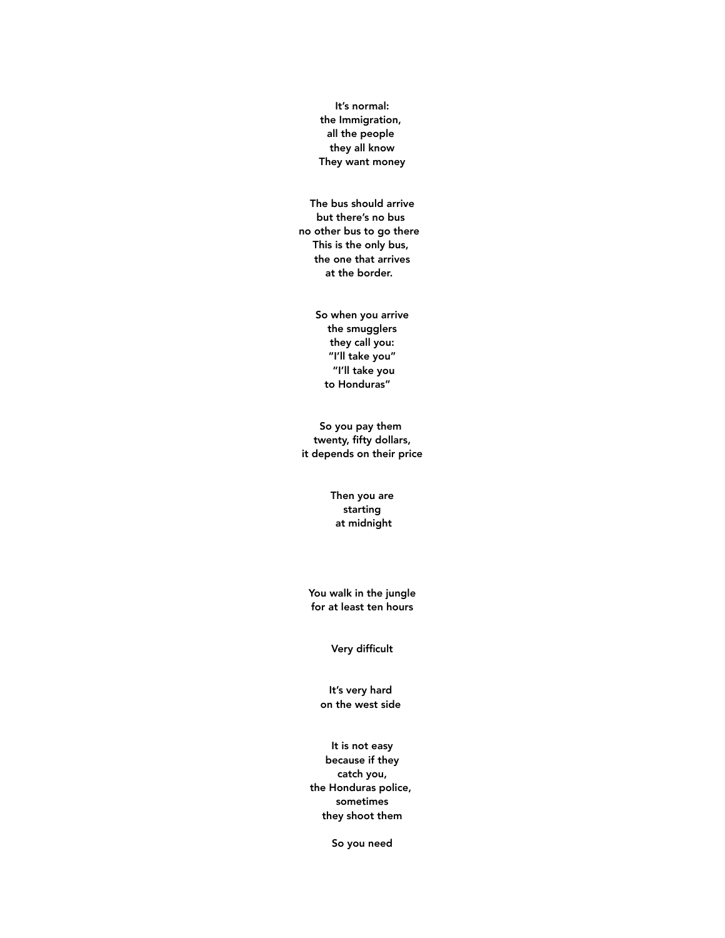It's normal: the Immigration, all the people they all know They want money

The bus should arrive but there's no bus no other bus to go there This is the only bus, the one that arrives at the border.

> So when you arrive the smugglers they call you: "I'll take you" "I'll take you to Honduras"

So you pay them twenty, fifty dollars, it depends on their price

> Then you are starting at midnight

You walk in the jungle for at least ten hours

Very difficult

It's very hard on the west side

It is not easy because if they catch you, the Honduras police, sometimes they shoot them

So you need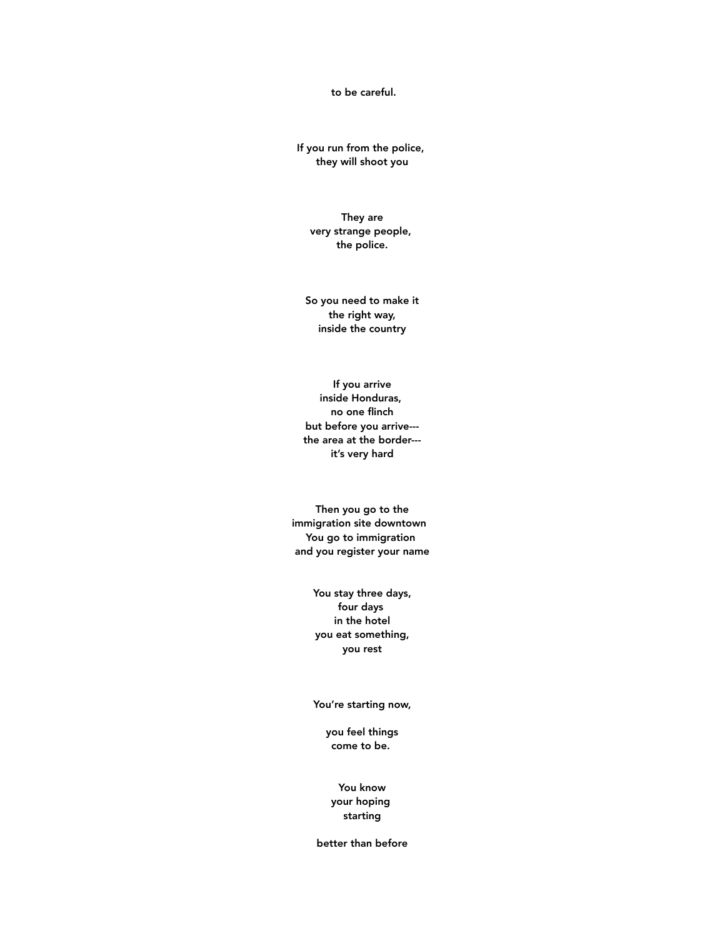to be careful.

If you run from the police, they will shoot you

They are very strange people, the police.

So you need to make it the right way, inside the country

If you arrive inside Honduras, no one flinch but before you arrive-- the area at the border-- it's very hard

Then you go to the immigration site downtown You go to immigration and you register your name

> You stay three days, four days in the hotel you eat something, you rest

> You're starting now,

you feel things come to be.

You know your hoping starting

better than before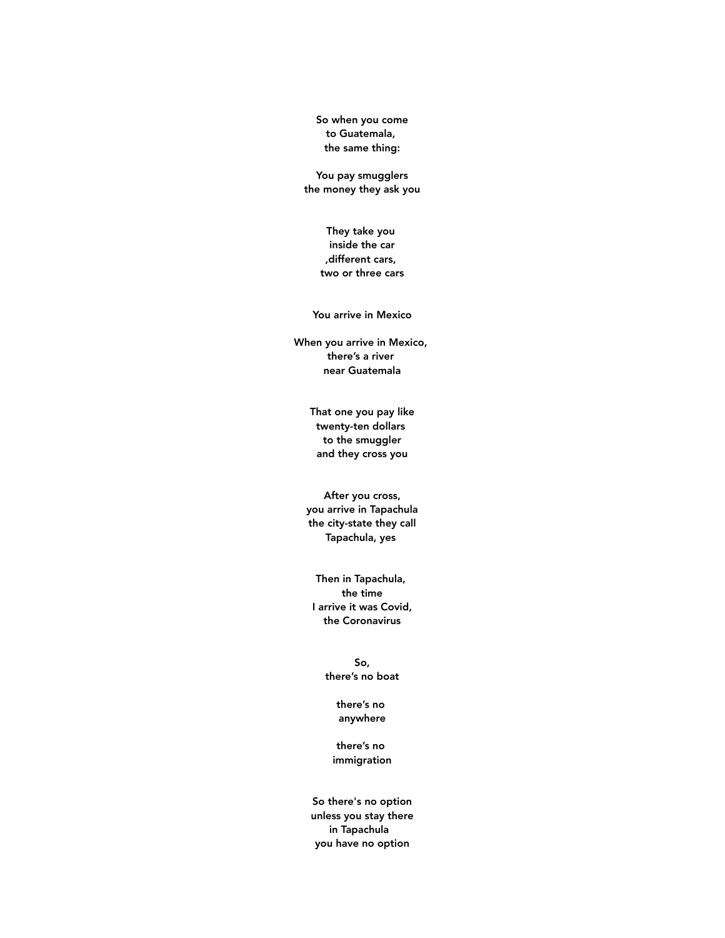So when you come to Guatemala, the same thing:

You pay smugglers the money they ask you

> They take you inside the car ,different cars, two or three cars

You arrive in Mexico

When you arrive in Mexico, there's a river near Guatemala

> That one you pay like twenty-ten dollars to the smuggler and they cross you

After you cross, you arrive in Tapachula the city-state they call Tapachula, yes

Then in Tapachula, the time I arrive it was Covid, the Coronavirus

> So, there's no boat

> > there's no anywhere

there's no immigration

So there's no option unless you stay there in Tapachula you have no option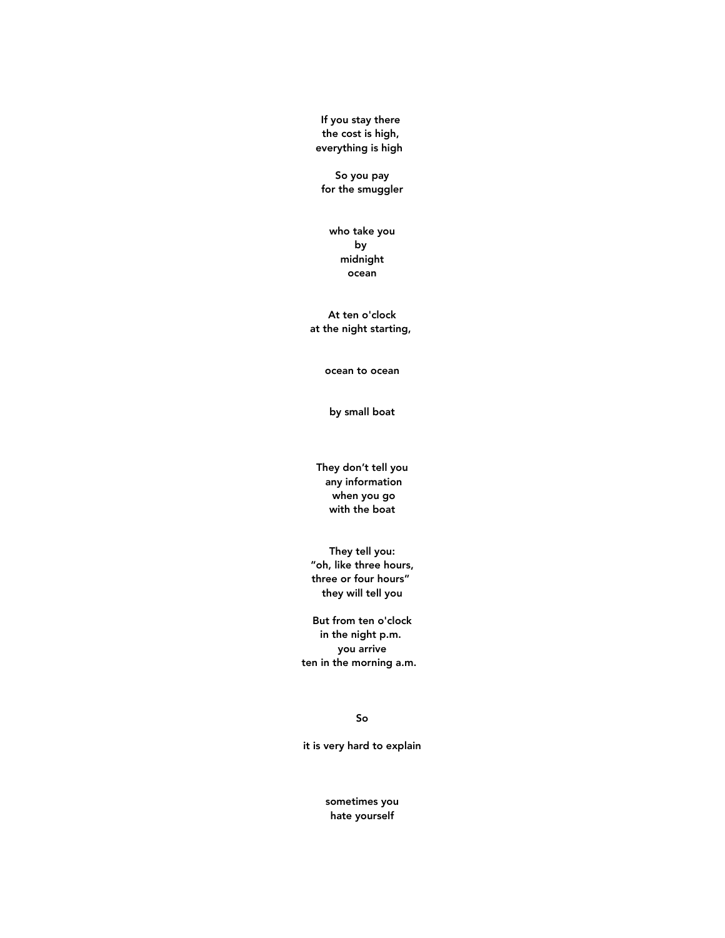If you stay there the cost is high, everything is high

So you pay for the smuggler

who take you by midnight ocean

At ten o'clock at the night starting,

ocean to ocean

by small boat

They don't tell you any information when you go with the boat

They tell you: "oh, like three hours, three or four hours" they will tell you

But from ten o'clock in the night p.m. you arrive ten in the morning a.m.

So

it is very hard to explain

sometimes you hate yourself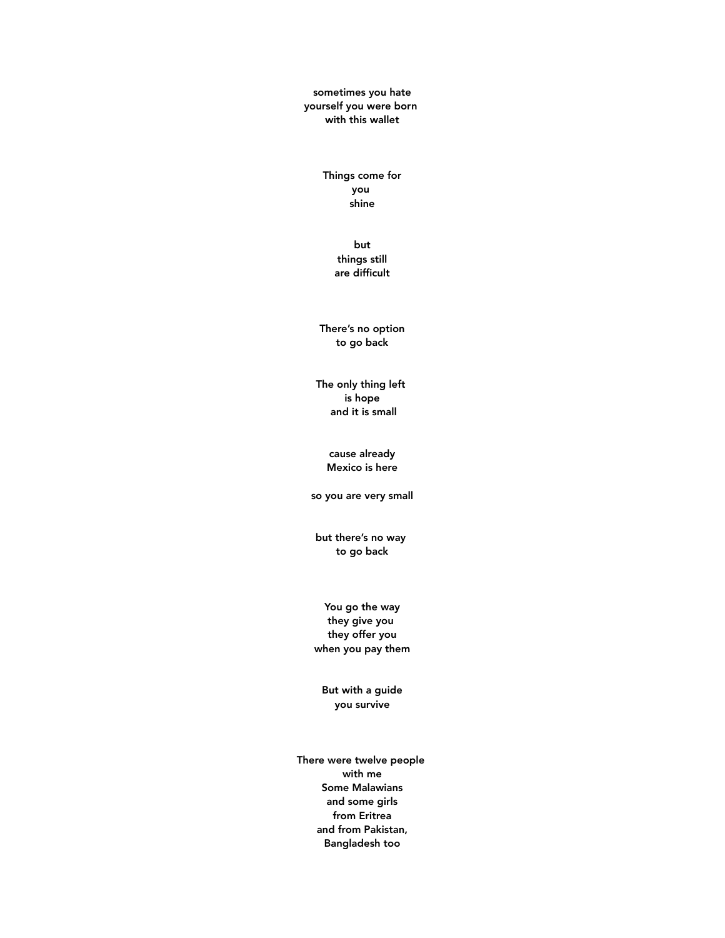sometimes you hate yourself you were born with this wallet

> Things come for you shine

> > but things still are difficult

There's no option to go back

The only thing left is hope and it is small

> cause already Mexico is here

so you are very small

but there's no way to go back

You go the way they give you they offer you when you pay them

But with a guide you survive

There were twelve people with me Some Malawians and some girls from Eritrea and from Pakistan, Bangladesh too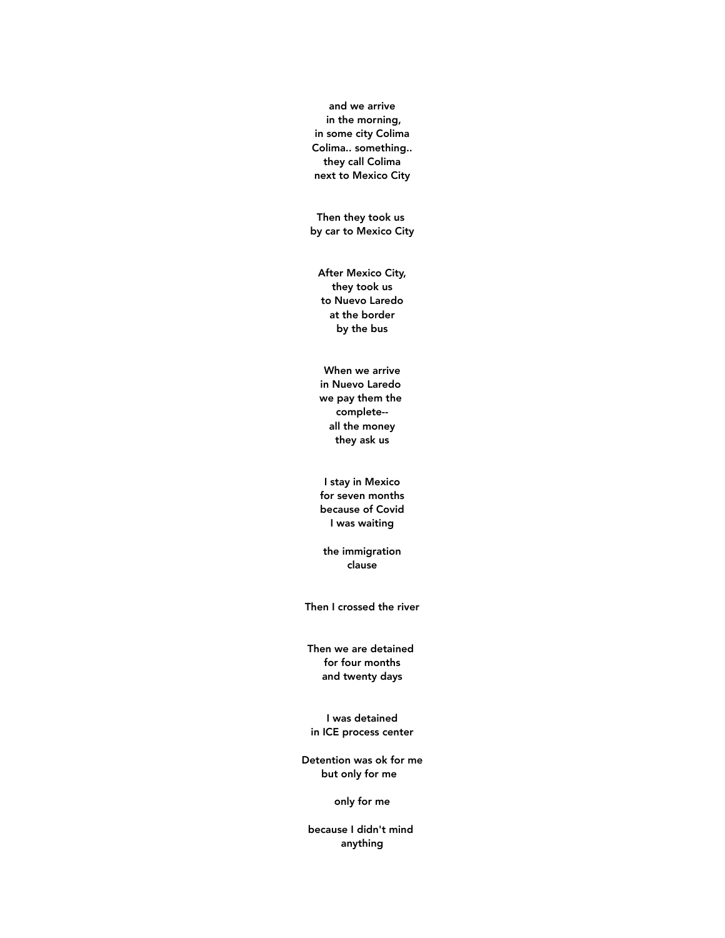and we arrive in the morning, in some city Colima Colima.. something.. they call Colima next to Mexico City

Then they took us by car to Mexico City

After Mexico City, they took us to Nuevo Laredo at the border by the bus

When we arrive in Nuevo Laredo we pay them the complete- all the money they ask us

I stay in Mexico for seven months because of Covid I was waiting

the immigration clause

Then I crossed the river

Then we are detained for four months and twenty days

I was detained in ICE process center

Detention was ok for me but only for me

only for me

because I didn't mind anything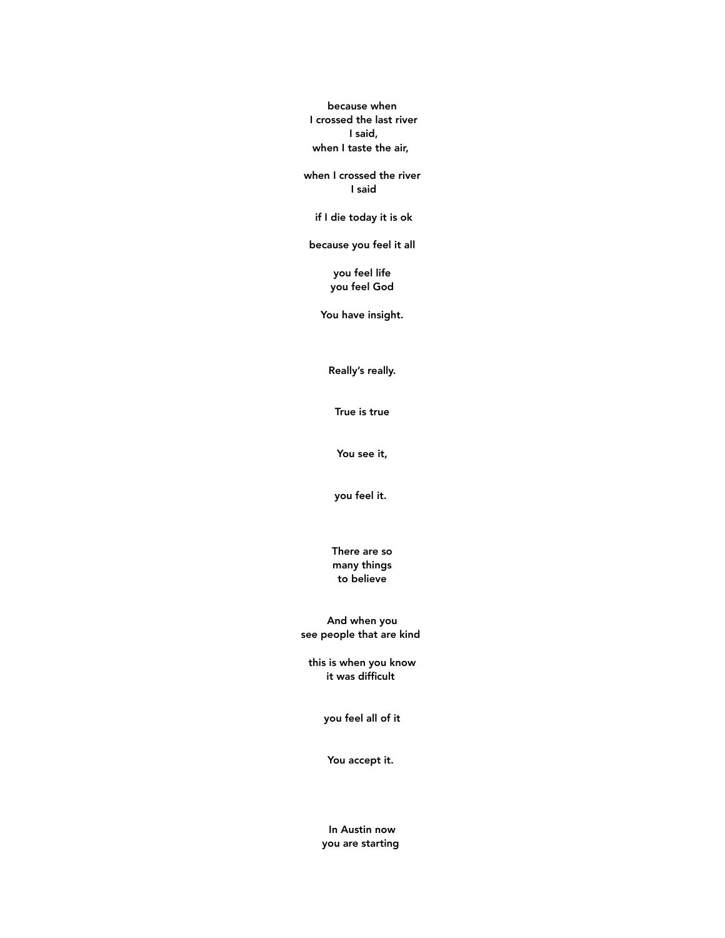because when I crossed the last river I said, when I taste the air,

when I crossed the river I said

if I die today it is ok

because you feel it all

you feel life you feel God

You have insight.

Really's really.

True is true

You see it,

you feel it.

There are so many things to believe

And when you see people that are kind

this is when you know it was difficult

you feel all of it

You accept it.

In Austin now you are starting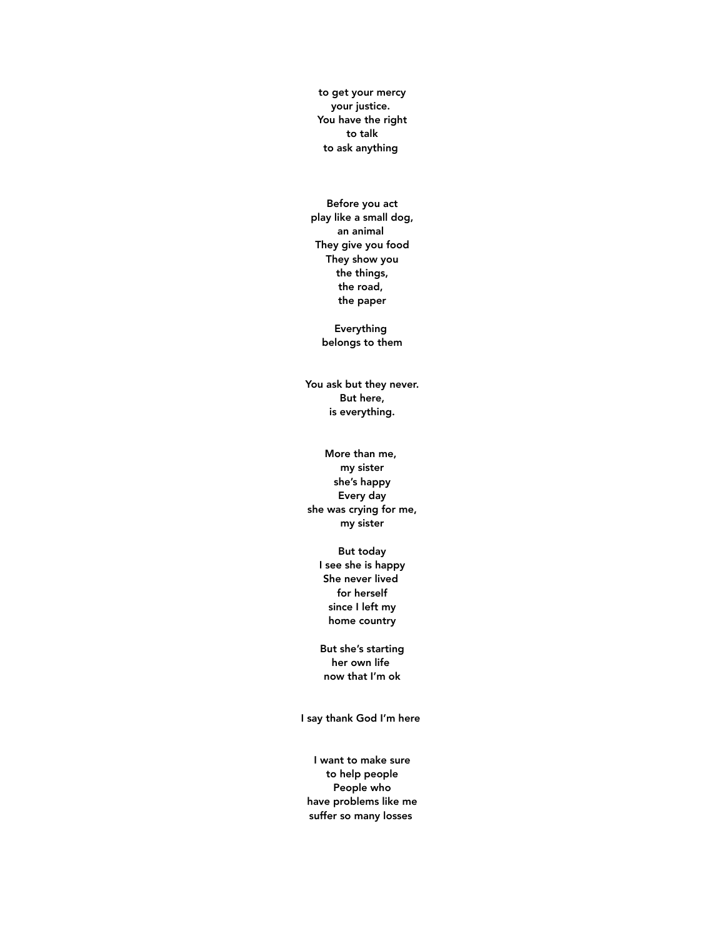to get your mercy your justice. You have the right to talk to ask anything

Before you act play like a small dog, an animal They give you food They show you the things, the road, the paper

> Everything belongs to them

You ask but they never. But here, is everything.

## More than me, my sister she's happy Every day she was crying for me, my sister

But today I see she is happy She never lived for herself since I left my home country

But she's starting her own life now that I'm ok

I say thank God I'm here

I want to make sure to help people People who have problems like me suffer so many losses